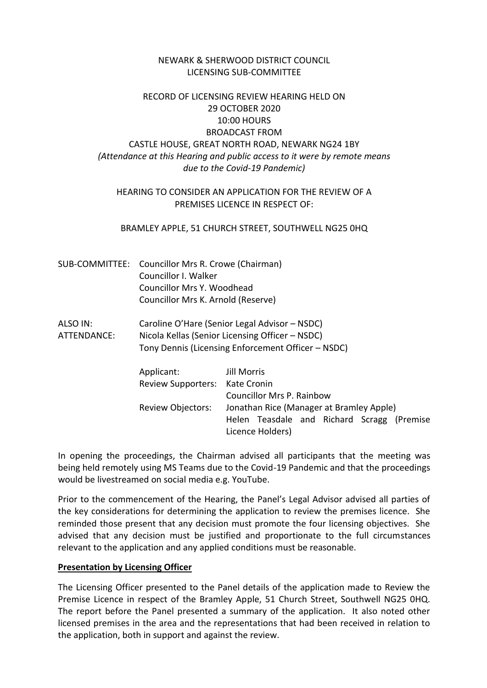### NEWARK & SHERWOOD DISTRICT COUNCIL LICENSING SUB-COMMITTEE

# RECORD OF LICENSING REVIEW HEARING HELD ON 29 OCTOBER 2020 10:00 HOURS BROADCAST FROM CASTLE HOUSE, GREAT NORTH ROAD, NEWARK NG24 1BY *(Attendance at this Hearing and public access to it were by remote means due to the Covid-19 Pandemic)*

### HEARING TO CONSIDER AN APPLICATION FOR THE REVIEW OF A PREMISES LICENCE IN RESPECT OF:

#### BRAMLEY APPLE, 51 CHURCH STREET, SOUTHWELL NG25 0HQ

- SUB-COMMITTEE: Councillor Mrs R. Crowe (Chairman) Councillor I. Walker Councillor Mrs Y. Woodhead Councillor Mrs K. Arnold (Reserve)
- ALSO IN: Caroline O'Hare (Senior Legal Advisor NSDC) ATTENDANCE: Nicola Kellas (Senior Licensing Officer – NSDC) Tony Dennis (Licensing Enforcement Officer – NSDC)

| Applicant:                     | Jill Morris                                                    |
|--------------------------------|----------------------------------------------------------------|
| Review Supporters: Kate Cronin |                                                                |
|                                | <b>Councillor Mrs P. Rainbow</b>                               |
| <b>Review Objectors:</b>       | Jonathan Rice (Manager at Bramley Apple)                       |
|                                | Helen Teasdale and Richard Scragg (Premise<br>Licence Holders) |

In opening the proceedings, the Chairman advised all participants that the meeting was being held remotely using MS Teams due to the Covid-19 Pandemic and that the proceedings would be livestreamed on social media e.g. YouTube.

Prior to the commencement of the Hearing, the Panel's Legal Advisor advised all parties of the key considerations for determining the application to review the premises licence. She reminded those present that any decision must promote the four licensing objectives. She advised that any decision must be justified and proportionate to the full circumstances relevant to the application and any applied conditions must be reasonable.

#### **Presentation by Licensing Officer**

The Licensing Officer presented to the Panel details of the application made to Review the Premise Licence in respect of the Bramley Apple, 51 Church Street, Southwell NG25 0HQ. The report before the Panel presented a summary of the application. It also noted other licensed premises in the area and the representations that had been received in relation to the application, both in support and against the review.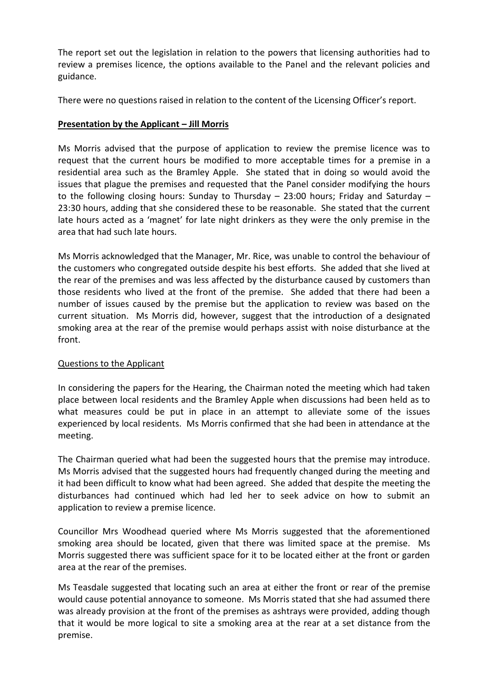The report set out the legislation in relation to the powers that licensing authorities had to review a premises licence, the options available to the Panel and the relevant policies and guidance.

There were no questions raised in relation to the content of the Licensing Officer's report.

# **Presentation by the Applicant – Jill Morris**

Ms Morris advised that the purpose of application to review the premise licence was to request that the current hours be modified to more acceptable times for a premise in a residential area such as the Bramley Apple. She stated that in doing so would avoid the issues that plague the premises and requested that the Panel consider modifying the hours to the following closing hours: Sunday to Thursday – 23:00 hours; Friday and Saturday – 23:30 hours, adding that she considered these to be reasonable. She stated that the current late hours acted as a 'magnet' for late night drinkers as they were the only premise in the area that had such late hours.

Ms Morris acknowledged that the Manager, Mr. Rice, was unable to control the behaviour of the customers who congregated outside despite his best efforts. She added that she lived at the rear of the premises and was less affected by the disturbance caused by customers than those residents who lived at the front of the premise. She added that there had been a number of issues caused by the premise but the application to review was based on the current situation. Ms Morris did, however, suggest that the introduction of a designated smoking area at the rear of the premise would perhaps assist with noise disturbance at the front.

# Questions to the Applicant

In considering the papers for the Hearing, the Chairman noted the meeting which had taken place between local residents and the Bramley Apple when discussions had been held as to what measures could be put in place in an attempt to alleviate some of the issues experienced by local residents. Ms Morris confirmed that she had been in attendance at the meeting.

The Chairman queried what had been the suggested hours that the premise may introduce. Ms Morris advised that the suggested hours had frequently changed during the meeting and it had been difficult to know what had been agreed. She added that despite the meeting the disturbances had continued which had led her to seek advice on how to submit an application to review a premise licence.

Councillor Mrs Woodhead queried where Ms Morris suggested that the aforementioned smoking area should be located, given that there was limited space at the premise. Ms Morris suggested there was sufficient space for it to be located either at the front or garden area at the rear of the premises.

Ms Teasdale suggested that locating such an area at either the front or rear of the premise would cause potential annoyance to someone. Ms Morris stated that she had assumed there was already provision at the front of the premises as ashtrays were provided, adding though that it would be more logical to site a smoking area at the rear at a set distance from the premise.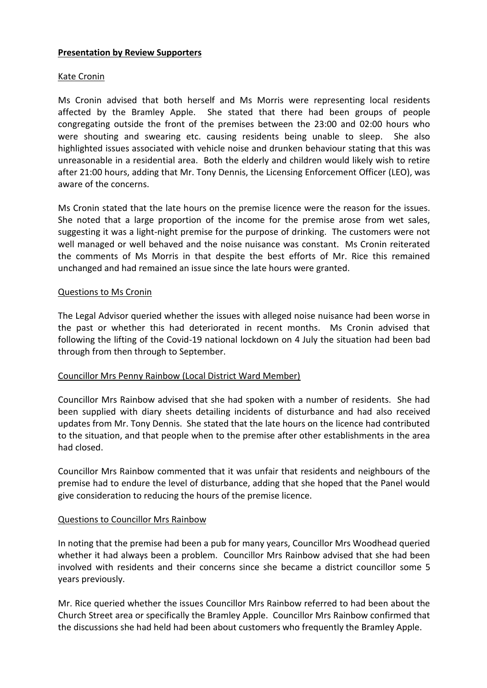### **Presentation by Review Supporters**

### Kate Cronin

Ms Cronin advised that both herself and Ms Morris were representing local residents affected by the Bramley Apple. She stated that there had been groups of people congregating outside the front of the premises between the 23:00 and 02:00 hours who were shouting and swearing etc. causing residents being unable to sleep. She also highlighted issues associated with vehicle noise and drunken behaviour stating that this was unreasonable in a residential area. Both the elderly and children would likely wish to retire after 21:00 hours, adding that Mr. Tony Dennis, the Licensing Enforcement Officer (LEO), was aware of the concerns.

Ms Cronin stated that the late hours on the premise licence were the reason for the issues. She noted that a large proportion of the income for the premise arose from wet sales, suggesting it was a light-night premise for the purpose of drinking. The customers were not well managed or well behaved and the noise nuisance was constant. Ms Cronin reiterated the comments of Ms Morris in that despite the best efforts of Mr. Rice this remained unchanged and had remained an issue since the late hours were granted.

# Questions to Ms Cronin

The Legal Advisor queried whether the issues with alleged noise nuisance had been worse in the past or whether this had deteriorated in recent months. Ms Cronin advised that following the lifting of the Covid-19 national lockdown on 4 July the situation had been bad through from then through to September.

# Councillor Mrs Penny Rainbow (Local District Ward Member)

Councillor Mrs Rainbow advised that she had spoken with a number of residents. She had been supplied with diary sheets detailing incidents of disturbance and had also received updates from Mr. Tony Dennis. She stated that the late hours on the licence had contributed to the situation, and that people when to the premise after other establishments in the area had closed.

Councillor Mrs Rainbow commented that it was unfair that residents and neighbours of the premise had to endure the level of disturbance, adding that she hoped that the Panel would give consideration to reducing the hours of the premise licence.

### Questions to Councillor Mrs Rainbow

In noting that the premise had been a pub for many years, Councillor Mrs Woodhead queried whether it had always been a problem. Councillor Mrs Rainbow advised that she had been involved with residents and their concerns since she became a district councillor some 5 years previously.

Mr. Rice queried whether the issues Councillor Mrs Rainbow referred to had been about the Church Street area or specifically the Bramley Apple. Councillor Mrs Rainbow confirmed that the discussions she had held had been about customers who frequently the Bramley Apple.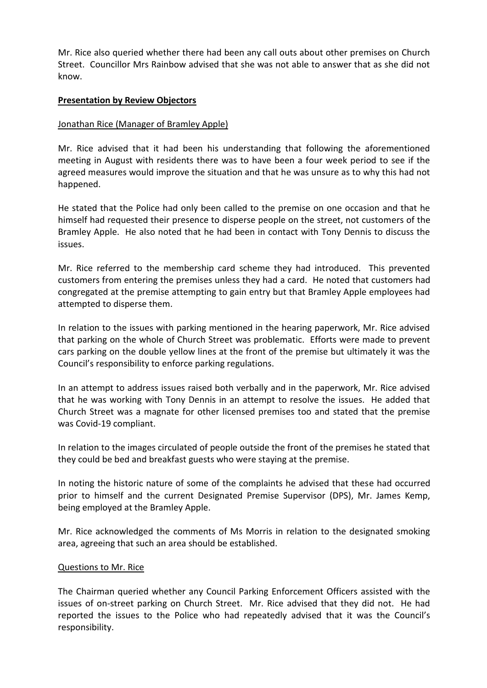Mr. Rice also queried whether there had been any call outs about other premises on Church Street. Councillor Mrs Rainbow advised that she was not able to answer that as she did not know.

### **Presentation by Review Objectors**

### Jonathan Rice (Manager of Bramley Apple)

Mr. Rice advised that it had been his understanding that following the aforementioned meeting in August with residents there was to have been a four week period to see if the agreed measures would improve the situation and that he was unsure as to why this had not happened.

He stated that the Police had only been called to the premise on one occasion and that he himself had requested their presence to disperse people on the street, not customers of the Bramley Apple. He also noted that he had been in contact with Tony Dennis to discuss the issues.

Mr. Rice referred to the membership card scheme they had introduced. This prevented customers from entering the premises unless they had a card. He noted that customers had congregated at the premise attempting to gain entry but that Bramley Apple employees had attempted to disperse them.

In relation to the issues with parking mentioned in the hearing paperwork, Mr. Rice advised that parking on the whole of Church Street was problematic. Efforts were made to prevent cars parking on the double yellow lines at the front of the premise but ultimately it was the Council's responsibility to enforce parking regulations.

In an attempt to address issues raised both verbally and in the paperwork, Mr. Rice advised that he was working with Tony Dennis in an attempt to resolve the issues. He added that Church Street was a magnate for other licensed premises too and stated that the premise was Covid-19 compliant.

In relation to the images circulated of people outside the front of the premises he stated that they could be bed and breakfast guests who were staying at the premise.

In noting the historic nature of some of the complaints he advised that these had occurred prior to himself and the current Designated Premise Supervisor (DPS), Mr. James Kemp, being employed at the Bramley Apple.

Mr. Rice acknowledged the comments of Ms Morris in relation to the designated smoking area, agreeing that such an area should be established.

### Questions to Mr. Rice

The Chairman queried whether any Council Parking Enforcement Officers assisted with the issues of on-street parking on Church Street. Mr. Rice advised that they did not. He had reported the issues to the Police who had repeatedly advised that it was the Council's responsibility.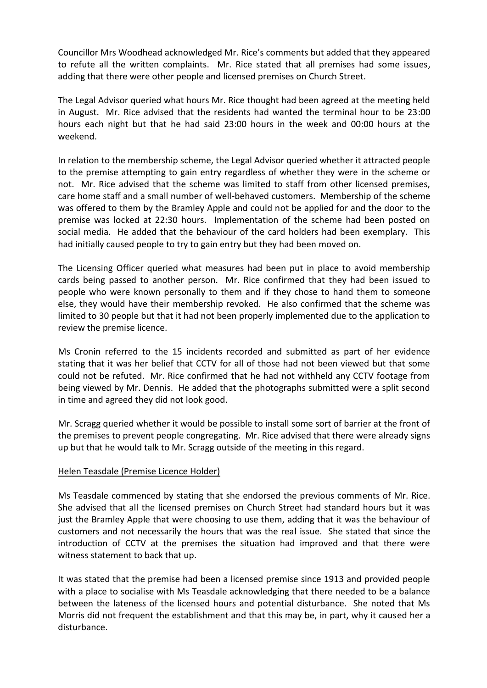Councillor Mrs Woodhead acknowledged Mr. Rice's comments but added that they appeared to refute all the written complaints. Mr. Rice stated that all premises had some issues, adding that there were other people and licensed premises on Church Street.

The Legal Advisor queried what hours Mr. Rice thought had been agreed at the meeting held in August. Mr. Rice advised that the residents had wanted the terminal hour to be 23:00 hours each night but that he had said 23:00 hours in the week and 00:00 hours at the weekend.

In relation to the membership scheme, the Legal Advisor queried whether it attracted people to the premise attempting to gain entry regardless of whether they were in the scheme or not. Mr. Rice advised that the scheme was limited to staff from other licensed premises, care home staff and a small number of well-behaved customers. Membership of the scheme was offered to them by the Bramley Apple and could not be applied for and the door to the premise was locked at 22:30 hours. Implementation of the scheme had been posted on social media. He added that the behaviour of the card holders had been exemplary. This had initially caused people to try to gain entry but they had been moved on.

The Licensing Officer queried what measures had been put in place to avoid membership cards being passed to another person. Mr. Rice confirmed that they had been issued to people who were known personally to them and if they chose to hand them to someone else, they would have their membership revoked. He also confirmed that the scheme was limited to 30 people but that it had not been properly implemented due to the application to review the premise licence.

Ms Cronin referred to the 15 incidents recorded and submitted as part of her evidence stating that it was her belief that CCTV for all of those had not been viewed but that some could not be refuted. Mr. Rice confirmed that he had not withheld any CCTV footage from being viewed by Mr. Dennis. He added that the photographs submitted were a split second in time and agreed they did not look good.

Mr. Scragg queried whether it would be possible to install some sort of barrier at the front of the premises to prevent people congregating. Mr. Rice advised that there were already signs up but that he would talk to Mr. Scragg outside of the meeting in this regard.

# Helen Teasdale (Premise Licence Holder)

Ms Teasdale commenced by stating that she endorsed the previous comments of Mr. Rice. She advised that all the licensed premises on Church Street had standard hours but it was just the Bramley Apple that were choosing to use them, adding that it was the behaviour of customers and not necessarily the hours that was the real issue. She stated that since the introduction of CCTV at the premises the situation had improved and that there were witness statement to back that up.

It was stated that the premise had been a licensed premise since 1913 and provided people with a place to socialise with Ms Teasdale acknowledging that there needed to be a balance between the lateness of the licensed hours and potential disturbance. She noted that Ms Morris did not frequent the establishment and that this may be, in part, why it caused her a disturbance.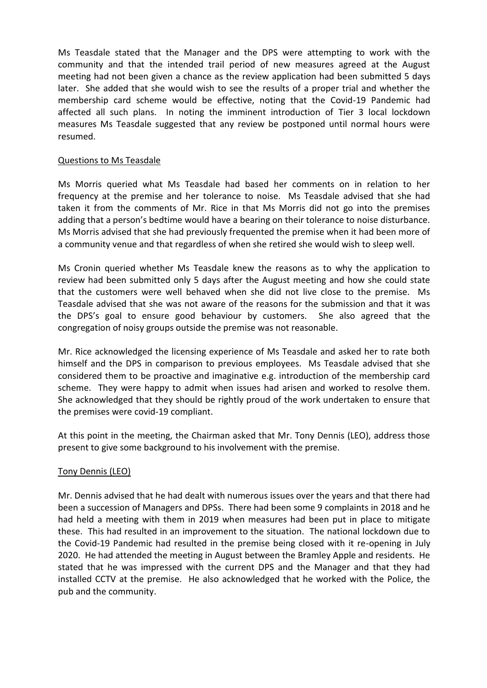Ms Teasdale stated that the Manager and the DPS were attempting to work with the community and that the intended trail period of new measures agreed at the August meeting had not been given a chance as the review application had been submitted 5 days later. She added that she would wish to see the results of a proper trial and whether the membership card scheme would be effective, noting that the Covid-19 Pandemic had affected all such plans. In noting the imminent introduction of Tier 3 local lockdown measures Ms Teasdale suggested that any review be postponed until normal hours were resumed.

# Questions to Ms Teasdale

Ms Morris queried what Ms Teasdale had based her comments on in relation to her frequency at the premise and her tolerance to noise. Ms Teasdale advised that she had taken it from the comments of Mr. Rice in that Ms Morris did not go into the premises adding that a person's bedtime would have a bearing on their tolerance to noise disturbance. Ms Morris advised that she had previously frequented the premise when it had been more of a community venue and that regardless of when she retired she would wish to sleep well.

Ms Cronin queried whether Ms Teasdale knew the reasons as to why the application to review had been submitted only 5 days after the August meeting and how she could state that the customers were well behaved when she did not live close to the premise. Ms Teasdale advised that she was not aware of the reasons for the submission and that it was the DPS's goal to ensure good behaviour by customers. She also agreed that the congregation of noisy groups outside the premise was not reasonable.

Mr. Rice acknowledged the licensing experience of Ms Teasdale and asked her to rate both himself and the DPS in comparison to previous employees. Ms Teasdale advised that she considered them to be proactive and imaginative e.g. introduction of the membership card scheme. They were happy to admit when issues had arisen and worked to resolve them. She acknowledged that they should be rightly proud of the work undertaken to ensure that the premises were covid-19 compliant.

At this point in the meeting, the Chairman asked that Mr. Tony Dennis (LEO), address those present to give some background to his involvement with the premise.

# Tony Dennis (LEO)

Mr. Dennis advised that he had dealt with numerous issues over the years and that there had been a succession of Managers and DPSs. There had been some 9 complaints in 2018 and he had held a meeting with them in 2019 when measures had been put in place to mitigate these. This had resulted in an improvement to the situation. The national lockdown due to the Covid-19 Pandemic had resulted in the premise being closed with it re-opening in July 2020. He had attended the meeting in August between the Bramley Apple and residents. He stated that he was impressed with the current DPS and the Manager and that they had installed CCTV at the premise. He also acknowledged that he worked with the Police, the pub and the community.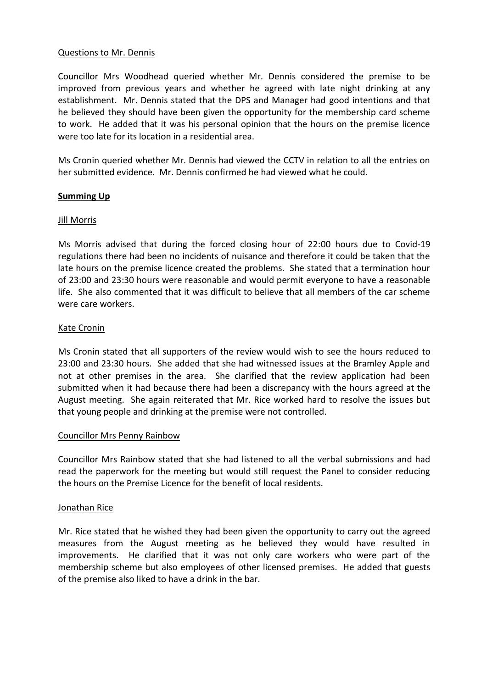### Questions to Mr. Dennis

Councillor Mrs Woodhead queried whether Mr. Dennis considered the premise to be improved from previous years and whether he agreed with late night drinking at any establishment. Mr. Dennis stated that the DPS and Manager had good intentions and that he believed they should have been given the opportunity for the membership card scheme to work. He added that it was his personal opinion that the hours on the premise licence were too late for its location in a residential area.

Ms Cronin queried whether Mr. Dennis had viewed the CCTV in relation to all the entries on her submitted evidence. Mr. Dennis confirmed he had viewed what he could.

### **Summing Up**

#### Jill Morris

Ms Morris advised that during the forced closing hour of 22:00 hours due to Covid-19 regulations there had been no incidents of nuisance and therefore it could be taken that the late hours on the premise licence created the problems. She stated that a termination hour of 23:00 and 23:30 hours were reasonable and would permit everyone to have a reasonable life. She also commented that it was difficult to believe that all members of the car scheme were care workers.

#### Kate Cronin

Ms Cronin stated that all supporters of the review would wish to see the hours reduced to 23:00 and 23:30 hours. She added that she had witnessed issues at the Bramley Apple and not at other premises in the area. She clarified that the review application had been submitted when it had because there had been a discrepancy with the hours agreed at the August meeting. She again reiterated that Mr. Rice worked hard to resolve the issues but that young people and drinking at the premise were not controlled.

#### Councillor Mrs Penny Rainbow

Councillor Mrs Rainbow stated that she had listened to all the verbal submissions and had read the paperwork for the meeting but would still request the Panel to consider reducing the hours on the Premise Licence for the benefit of local residents.

#### Jonathan Rice

Mr. Rice stated that he wished they had been given the opportunity to carry out the agreed measures from the August meeting as he believed they would have resulted in improvements. He clarified that it was not only care workers who were part of the membership scheme but also employees of other licensed premises. He added that guests of the premise also liked to have a drink in the bar.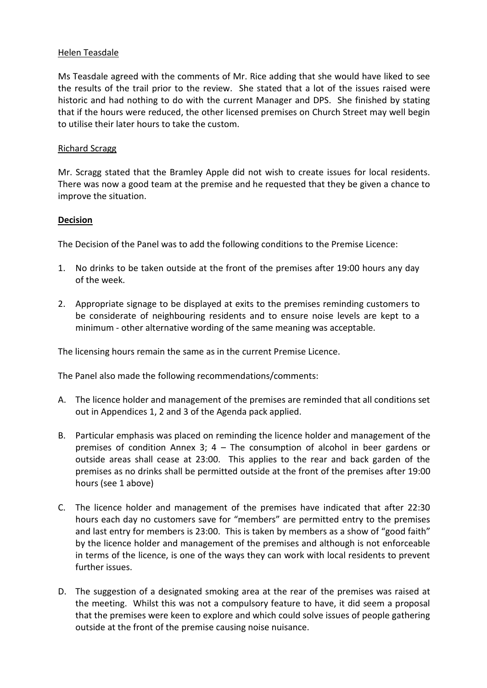### Helen Teasdale

Ms Teasdale agreed with the comments of Mr. Rice adding that she would have liked to see the results of the trail prior to the review. She stated that a lot of the issues raised were historic and had nothing to do with the current Manager and DPS. She finished by stating that if the hours were reduced, the other licensed premises on Church Street may well begin to utilise their later hours to take the custom.

# Richard Scragg

Mr. Scragg stated that the Bramley Apple did not wish to create issues for local residents. There was now a good team at the premise and he requested that they be given a chance to improve the situation.

# **Decision**

The Decision of the Panel was to add the following conditions to the Premise Licence:

- 1. No drinks to be taken outside at the front of the premises after 19:00 hours any day of the week.
- 2. Appropriate signage to be displayed at exits to the premises reminding customers to be considerate of neighbouring residents and to ensure noise levels are kept to a minimum - other alternative wording of the same meaning was acceptable.

The licensing hours remain the same as in the current Premise Licence.

The Panel also made the following recommendations/comments:

- A. The licence holder and management of the premises are reminded that all conditions set out in Appendices 1, 2 and 3 of the Agenda pack applied.
- B. Particular emphasis was placed on reminding the licence holder and management of the premises of condition Annex 3; 4 – The consumption of alcohol in beer gardens or outside areas shall cease at 23:00. This applies to the rear and back garden of the premises as no drinks shall be permitted outside at the front of the premises after 19:00 hours (see 1 above)
- C. The licence holder and management of the premises have indicated that after 22:30 hours each day no customers save for "members" are permitted entry to the premises and last entry for members is 23:00. This is taken by members as a show of "good faith" by the licence holder and management of the premises and although is not enforceable in terms of the licence, is one of the ways they can work with local residents to prevent further issues.
- D. The suggestion of a designated smoking area at the rear of the premises was raised at the meeting. Whilst this was not a compulsory feature to have, it did seem a proposal that the premises were keen to explore and which could solve issues of people gathering outside at the front of the premise causing noise nuisance.